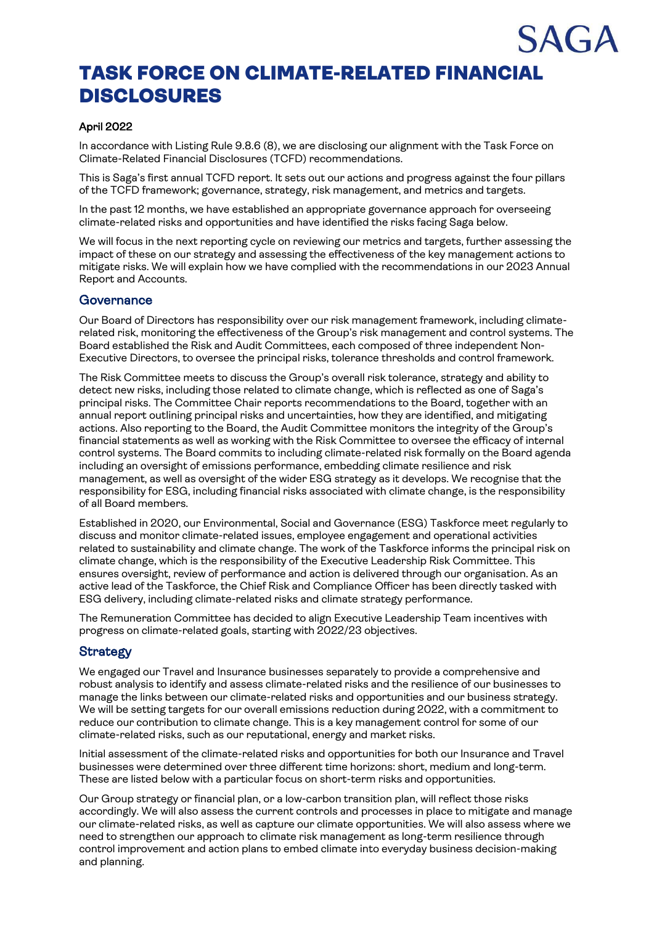# TASK FORCE ON CLIMATE-RELATED FINANCIAL DISCLOSURES

**SAGA** 

### April 2022

In accordance with Listing Rule 9.8.6 (8), we are disclosing our alignment with the Task Force on Climate-Related Financial Disclosures (TCFD) recommendations.

This is Saga's first annual TCFD report. It sets out our actions and progress against the four pillars of the TCFD framework; governance, strategy, risk management, and metrics and targets.

In the past 12 months, we have established an appropriate governance approach for overseeing climate-related risks and opportunities and have identified the risks facing Saga below.

We will focus in the next reporting cycle on reviewing our metrics and targets, further assessing the impact of these on our strategy and assessing the effectiveness of the key management actions to mitigate risks. We will explain how we have complied with the recommendations in our 2023 Annual Report and Accounts.

#### **Governance**

Our Board of Directors has responsibility over our risk management framework, including climaterelated risk, monitoring the effectiveness of the Group's risk management and control systems. The Board established the Risk and Audit Committees, each composed of three independent Non-Executive Directors, to oversee the principal risks, tolerance thresholds and control framework.

The Risk Committee meets to discuss the Group's overall risk tolerance, strategy and ability to detect new risks, including those related to climate change, which is reflected as one of Saga's principal risks. The Committee Chair reports recommendations to the Board, together with an annual report outlining principal risks and uncertainties, how they are identified, and mitigating actions. Also reporting to the Board, the Audit Committee monitors the integrity of the Group's financial statements as well as working with the Risk Committee to oversee the efficacy of internal control systems. The Board commits to including climate-related risk formally on the Board agenda including an oversight of emissions performance, embedding climate resilience and risk management, as well as oversight of the wider ESG strategy as it develops. We recognise that the responsibility for ESG, including financial risks associated with climate change, is the responsibility of all Board members.

Established in 2020, our Environmental, Social and Governance (ESG) Taskforce meet regularly to discuss and monitor climate-related issues, employee engagement and operational activities related to sustainability and climate change. The work of the Taskforce informs the principal risk on climate change, which is the responsibility of the Executive Leadership Risk Committee. This ensures oversight, review of performance and action is delivered through our organisation. As an active lead of the Taskforce, the Chief Risk and Compliance Officer has been directly tasked with ESG delivery, including climate-related risks and climate strategy performance.

The Remuneration Committee has decided to align Executive Leadership Team incentives with progress on climate-related goals, starting with 2022/23 objectives.

#### **Strategy**

We engaged our Travel and Insurance businesses separately to provide a comprehensive and robust analysis to identify and assess climate-related risks and the resilience of our businesses to manage the links between our climate-related risks and opportunities and our business strategy. We will be setting targets for our overall emissions reduction during 2022, with a commitment to reduce our contribution to climate change. This is a key management control for some of our climate-related risks, such as our reputational, energy and market risks.

Initial assessment of the climate-related risks and opportunities for both our Insurance and Travel businesses were determined over three different time horizons: short, medium and long-term. These are listed below with a particular focus on short-term risks and opportunities.

Our Group strategy or financial plan, or a low-carbon transition plan, will reflect those risks accordingly. We will also assess the current controls and processes in place to mitigate and manage our climate-related risks, as well as capture our climate opportunities. We will also assess where we need to strengthen our approach to climate risk management as long-term resilience through control improvement and action plans to embed climate into everyday business decision-making and planning.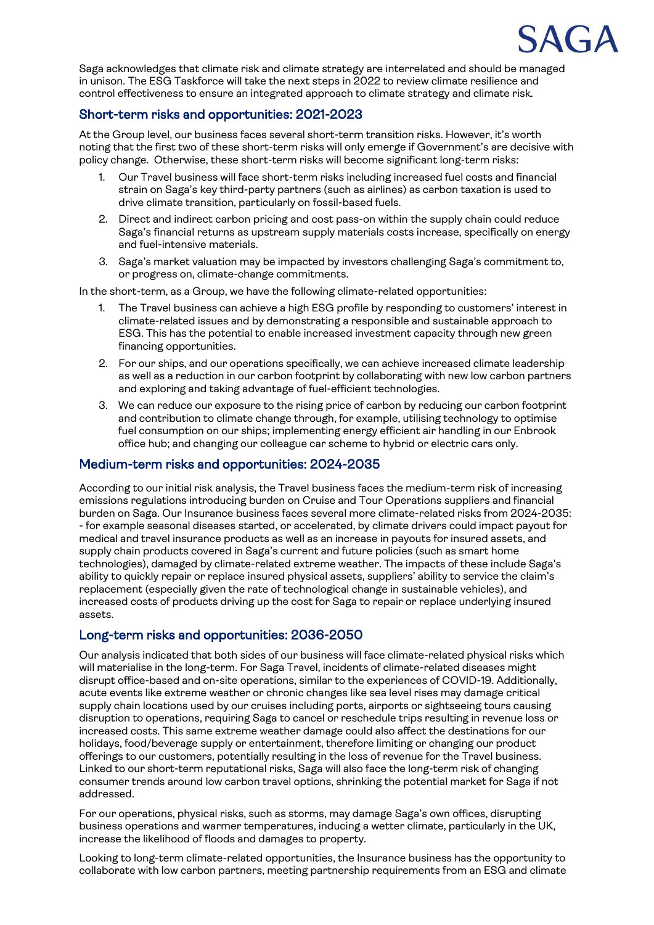

Saga acknowledges that climate risk and climate strategy are interrelated and should be managed in unison. The ESG Taskforce will take the next steps in 2022 to review climate resilience and control effectiveness to ensure an integrated approach to climate strategy and climate risk.

## Short-term risks and opportunities: 2021-2023

At the Group level, our business faces several short-term transition risks. However, it's worth noting that the first two of these short-term risks will only emerge if Government's are decisive with policy change. Otherwise, these short-term risks will become significant long-term risks:

- 1. Our Travel business will face short-term risks including increased fuel costs and financial strain on Saga's key third-party partners (such as airlines) as carbon taxation is used to drive climate transition, particularly on fossil-based fuels.
- 2. Direct and indirect carbon pricing and cost pass-on within the supply chain could reduce Saga's financial returns as upstream supply materials costs increase, specifically on energy and fuel-intensive materials.
- 3. Saga's market valuation may be impacted by investors challenging Saga's commitment to, or progress on, climate-change commitments.

In the short-term, as a Group, we have the following climate-related opportunities:

- 1. The Travel business can achieve a high ESG profile by responding to customers' interest in climate-related issues and by demonstrating a responsible and sustainable approach to ESG. This has the potential to enable increased investment capacity through new green financing opportunities.
- 2. For our ships, and our operations specifically, we can achieve increased climate leadership as well as a reduction in our carbon footprint by collaborating with new low carbon partners and exploring and taking advantage of fuel-efficient technologies.
- 3. We can reduce our exposure to the rising price of carbon by reducing our carbon footprint and contribution to climate change through, for example, utilising technology to optimise fuel consumption on our ships; implementing energy efficient air handling in our Enbrook office hub; and changing our colleague car scheme to hybrid or electric cars only.

#### Medium-term risks and opportunities: 2024-2035

According to our initial risk analysis, the Travel business faces the medium-term risk of increasing emissions regulations introducing burden on Cruise and Tour Operations suppliers and financial burden on Saga. Our Insurance business faces several more climate-related risks from 2024-2035: - for example seasonal diseases started, or accelerated, by climate drivers could impact payout for medical and travel insurance products as well as an increase in payouts for insured assets, and supply chain products covered in Saga's current and future policies (such as smart home technologies), damaged by climate-related extreme weather. The impacts of these include Saga's ability to quickly repair or replace insured physical assets, suppliers' ability to service the claim's replacement (especially given the rate of technological change in sustainable vehicles), and increased costs of products driving up the cost for Saga to repair or replace underlying insured assets.

#### Long-term risks and opportunities: 2036-2050

Our analysis indicated that both sides of our business will face climate-related physical risks which will materialise in the long-term. For Saga Travel, incidents of climate-related diseases might disrupt office-based and on-site operations, similar to the experiences of COVID-19. Additionally, acute events like extreme weather or chronic changes like sea level rises may damage critical supply chain locations used by our cruises including ports, airports or sightseeing tours causing disruption to operations, requiring Saga to cancel or reschedule trips resulting in revenue loss or increased costs. This same extreme weather damage could also affect the destinations for our holidays, food/beverage supply or entertainment, therefore limiting or changing our product offerings to our customers, potentially resulting in the loss of revenue for the Travel business. Linked to our short-term reputational risks, Saga will also face the long-term risk of changing consumer trends around low carbon travel options, shrinking the potential market for Saga if not addressed.

For our operations, physical risks, such as storms, may damage Saga's own offices, disrupting business operations and warmer temperatures, inducing a wetter climate, particularly in the UK, increase the likelihood of floods and damages to property.

Looking to long-term climate-related opportunities, the Insurance business has the opportunity to collaborate with low carbon partners, meeting partnership requirements from an ESG and climate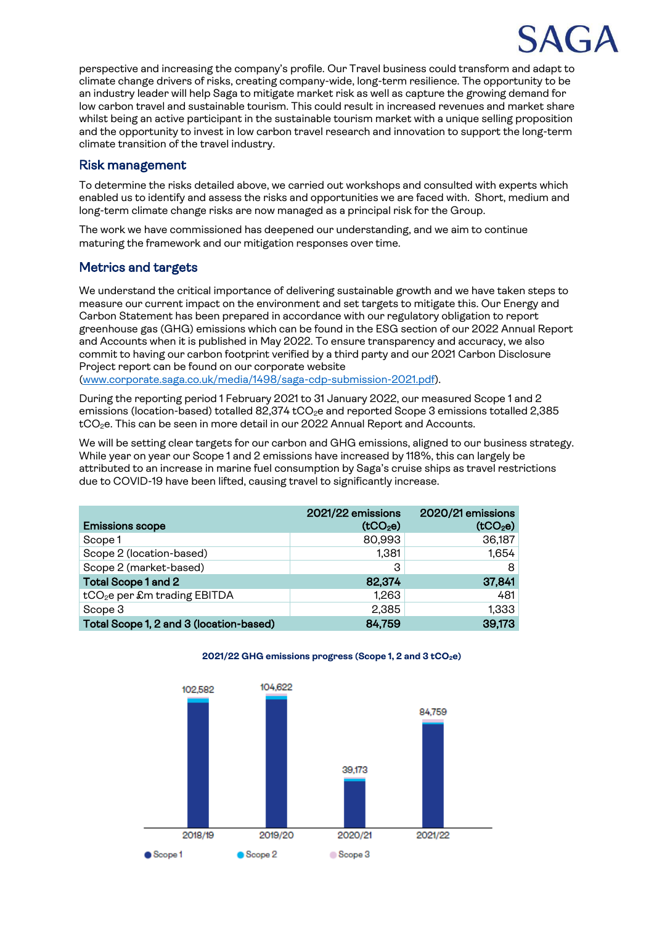

perspective and increasing the company's profile. Our Travel business could transform and adapt to climate change drivers of risks, creating company-wide, long-term resilience. The opportunity to be an industry leader will help Saga to mitigate market risk as well as capture the growing demand for low carbon travel and sustainable tourism. This could result in increased revenues and market share whilst being an active participant in the sustainable tourism market with a unique selling proposition and the opportunity to invest in low carbon travel research and innovation to support the long-term climate transition of the travel industry.

#### Risk management

To determine the risks detailed above, we carried out workshops and consulted with experts which enabled us to identify and assess the risks and opportunities we are faced with. Short, medium and long-term climate change risks are now managed as a principal risk for the Group.

The work we have commissioned has deepened our understanding, and we aim to continue maturing the framework and our mitigation responses over time.

#### Metrics and targets

We understand the critical importance of delivering sustainable growth and we have taken steps to measure our current impact on the environment and set targets to mitigate this. Our Energy and Carbon Statement has been prepared in accordance with our regulatory obligation to report greenhouse gas (GHG) emissions which can be found in the ESG section of our 2022 Annual Report and Accounts when it is published in May 2022. To ensure transparency and accuracy, we also commit to having our carbon footprint verified by a third party and our 2021 Carbon Disclosure Project report can be found on our corporate website

[\(www.corporate.saga.co.uk/media/1498/saga-cdp-submission-2021.pdf\)](http://www.corporate.saga.co.uk/media/1498/saga-cdp-submission-2021.pdf).

During the reporting period 1 February 2021 to 31 January 2022, our measured Scope 1 and 2 emissions (location-based) totalled 82,374 tCO<sub>2</sub>e and reported Scope 3 emissions totalled 2,385 tCO<sub>2</sub>e. This can be seen in more detail in our 2022 Annual Report and Accounts.

We will be setting clear targets for our carbon and GHG emissions, aligned to our business strategy. While year on year our Scope 1 and 2 emissions have increased by 118%, this can largely be attributed to an increase in marine fuel consumption by Saga's cruise ships as travel restrictions due to COVID-19 have been lifted, causing travel to significantly increase.

|                                          | 2021/22 emissions    | 2020/21 emissions    |
|------------------------------------------|----------------------|----------------------|
| <b>Emissions scope</b>                   | (tCO <sub>2</sub> e) | (tCO <sub>2</sub> e) |
| Scope 1                                  | 80,993               | 36,187               |
| Scope 2 (location-based)                 | 1,381                | 1,654                |
| Scope 2 (market-based)                   | 3                    | 8                    |
| <b>Total Scope 1 and 2</b>               | 82,374               | 37,841               |
| tCO <sub>2</sub> e per £m trading EBITDA | 1,263                | 481                  |
| Scope 3                                  | 2,385                | 1,333                |
| Total Scope 1, 2 and 3 (location-based)  | 84,759               | 39,173               |



#### **2021/22 GHG emissions progress (Scope 1, 2 and 3 tCO2e)**